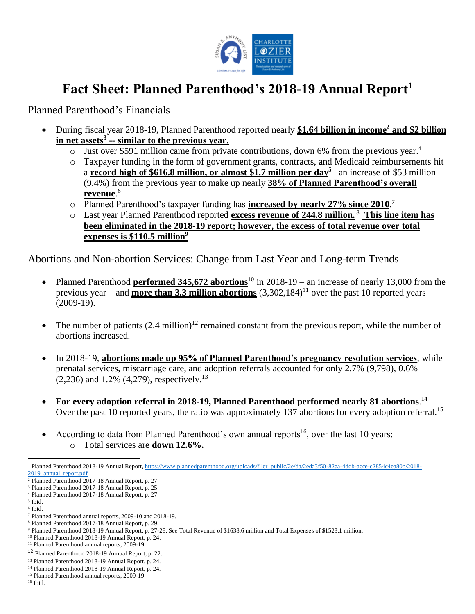

## **Fact Sheet: Planned Parenthood's 2018-19 Annual Report**<sup>1</sup>

## Planned Parenthood's Financials

- During fiscal year 2018-19, Planned Parenthood reported nearly **\$1.64 billion in income<sup>2</sup> and \$2 billion in net assets<sup>3</sup> -- similar to the previous year.**
	- o Just over \$591 million came from private contributions, down 6% from the previous year. 4
	- o Taxpayer funding in the form of government grants, contracts, and Medicaid reimbursements hit a **record high of \$616.8 million, or almost \$1.7 million per day<sup>5</sup>** – an increase of \$53 million (9.4%) from the previous year to make up nearly **38% of Planned Parenthood's overall revenue**. 6
	- o Planned Parenthood's taxpayer funding has **increased by nearly 27% since 2010**. 7
	- o Last year Planned Parenthood reported **excess revenue of 244.8 million.** <sup>8</sup> **This line item has been eliminated in the 2018-19 report; however, the excess of total revenue over total expenses is \$110.5 million<sup>9</sup>**

Abortions and Non-abortion Services: Change from Last Year and Long-term Trends

- Planned Parenthood **performed 345,672 abortions**<sup>10</sup> in 2018-19 an increase of nearly 13,000 from the previous year – and **more than 3.3 million abortions** (3,302,184) <sup>11</sup> over the past 10 reported years (2009-19).
- The number of patients  $(2.4 \text{ million})^{12}$  remained constant from the previous report, while the number of abortions increased.
- In 2018-19, **abortions made up 95% of Planned Parenthood's pregnancy resolution services**, while prenatal services, miscarriage care, and adoption referrals accounted for only 2.7% (9,798), 0.6%  $(2,236)$  and 1.2%  $(4,279)$ , respectively.<sup>13</sup>
- **For every adoption referral in 2018-19, Planned Parenthood performed nearly 81 abortions**. 14 Over the past 10 reported years, the ratio was approximately 137 abortions for every adoption referral.<sup>15</sup>
- According to data from Planned Parenthood's own annual reports<sup>16</sup>, over the last 10 years: o Total services are **down 12.6%.**

<sup>1</sup> Planned Parenthood 2018-19 Annual Report, https://www.plannedparenthood.org/uploads/filer\_public/2e/da/2eda3f50-82aa-4ddb-acce-c2854c4ea80b/2018- 2019\_annual\_report.pdf

<sup>2</sup> Planned Parenthood 2017-18 Annual Report, p. 27. <sup>3</sup> Planned Parenthood 2017-18 Annual Report, p. 25.

<sup>4</sup> Planned Parenthood 2017-18 Annual Report, p. 27.

<sup>5</sup> Ibid. 6 Ibid.

<sup>7</sup> Planned Parenthood annual reports, 2009-10 and 2018-19.

<sup>8</sup> Planned Parenthood 2017-18 Annual Report, p. 29.

<sup>9</sup> Planned Parenthood 2018-19 Annual Report, p. 27-28. See Total Revenue of \$1638.6 million and Total Expenses of \$1528.1 million.

<sup>10</sup> Planned Parenthood 2018-19 Annual Report, p. 24.

<sup>&</sup>lt;sup>11</sup> Planned Parenthood annual reports, 2009-19

<sup>12</sup> Planned Parenthood 2018-19 Annual Report, p. 22.

<sup>13</sup> Planned Parenthood 2018-19 Annual Report, p. 24.

<sup>14</sup> Planned Parenthood 2018-19 Annual Report, p. 24.

<sup>15</sup> Planned Parenthood annual reports, 2009-19

<sup>16</sup> Ibid.